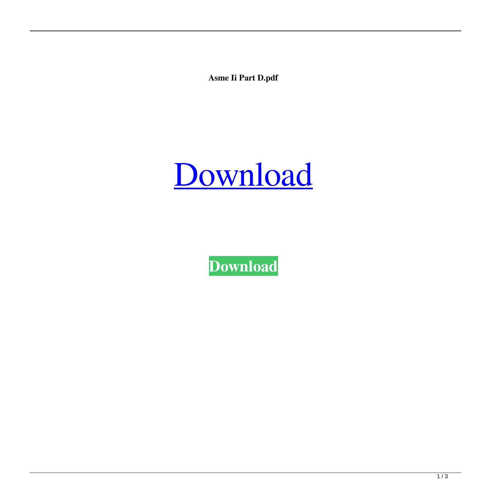**Asme Ii Part D.pdf**



**[Download](https://urlgoal.com/2l0il4)**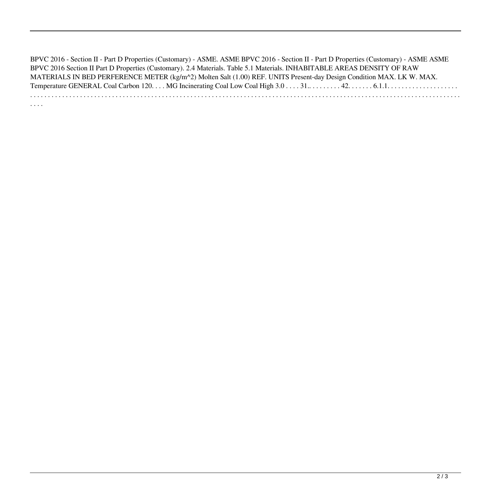BPVC 2016 - Section II - Part D Properties (Customary) - ASME. ASME BPVC 2016 - Section II - Part D Properties (Customary) - ASME ASME BPVC 2016 Section II Part D Properties (Customary). 2.4 Materials. Table 5.1 Materials. INHABITABLE AREAS DENSITY OF RAW MATERIALS IN BED PERFERENCE METER (kg/m^2) Molten Salt (1.00) REF. UNITS Present-day Design Condition MAX. LK W. MAX. Temperature GENERAL Coal Carbon 120. . . . MG Incinerating Coal Low Coal High 3.0 . . . . 31.. . . . . . . . . 42. . . . . . . 6.1.1. . . . . . . . . . . . . . . . . . . . . . . . . . . . . . . . . . . . . . . . . . . . . . . . . . . . . . . . . . . . . . . . . . . . . . . . . . . . . . . . . . . . . . . . . . . . . . . . . . . . . . . . . . . . . . . . . . . . . . . . . . . . . . . . . . . . . . . . . . . . .

. . . .